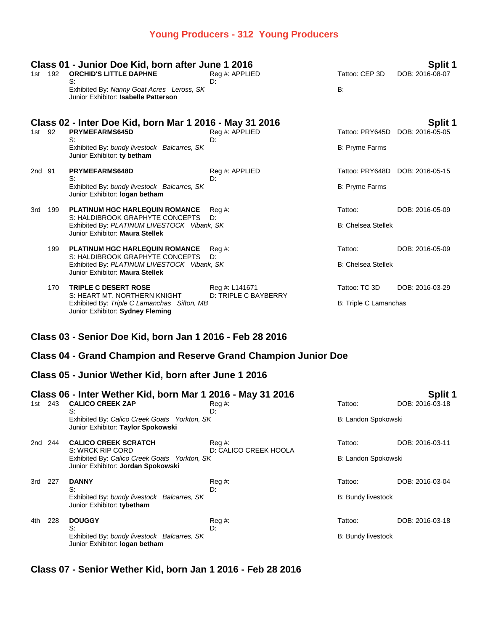### **Young Producers - 312 Young Producers**

| Class 01 - Junior Doe Kid, born after June 1 2016<br>Split 1 |     |                                                                                                                   |                      |                           |                 |  |
|--------------------------------------------------------------|-----|-------------------------------------------------------------------------------------------------------------------|----------------------|---------------------------|-----------------|--|
| 1st                                                          | 192 | <b>ORCHID'S LITTLE DAPHNE</b><br>S:                                                                               | Reg #: APPLIED<br>D: | Tattoo: CEP 3D            | DOB: 2016-08-07 |  |
|                                                              |     | Exhibited By: Nanny Goat Acres Leross, SK<br>Junior Exhibitor: Isabelle Patterson                                 |                      | B:                        |                 |  |
|                                                              |     | Class 02 - Inter Doe Kid, born Mar 1 2016 - May 31 2016                                                           |                      |                           | Split 1         |  |
| 1st l                                                        | 92  | <b>PRYMEFARMS645D</b><br>S:                                                                                       | Reg #: APPLIED<br>D: | Tattoo: PRY645D           | DOB: 2016-05-05 |  |
|                                                              |     | Exhibited By: bundy livestock Balcarres, SK<br>Junior Exhibitor: ty betham                                        |                      | <b>B: Pryme Farms</b>     |                 |  |
| 2nd 91                                                       |     | PRYMEFARMS648D<br>S:                                                                                              | Reg #: APPLIED<br>D: | Tattoo: PRY648D           | DOB: 2016-05-15 |  |
|                                                              |     | Exhibited By: bundy livestock Balcarres, SK<br>Junior Exhibitor: logan betham                                     |                      | <b>B: Pryme Farms</b>     |                 |  |
| 3rd                                                          | 199 | <b>PLATINUM HGC HARLEQUIN ROMANCE</b>                                                                             | Reg#                 | Tattoo:                   | DOB: 2016-05-09 |  |
|                                                              |     | S: HALDIBROOK GRAPHYTE CONCEPTS<br>Exhibited By: PLATINUM LIVESTOCK Vibank, SK<br>Junior Exhibitor: Maura Stellek | D:                   | <b>B: Chelsea Stellek</b> |                 |  |
|                                                              | 199 | PLATINUM HGC HARLEQUIN ROMANCE                                                                                    | Reg#                 | Tattoo:                   | DOB: 2016-05-09 |  |
|                                                              |     | S: HALDIBROOK GRAPHYTE CONCEPTS<br>Exhibited By: PLATINUM LIVESTOCK Vibank, SK<br>Junior Exhibitor: Maura Stellek | D:                   | <b>B: Chelsea Stellek</b> |                 |  |
|                                                              | 170 | <b>TRIPLE C DESERT ROSE</b>                                                                                       | Reg #: L141671       | Tattoo: TC 3D             | DOB: 2016-03-29 |  |
|                                                              |     | S: HEART MT, NORTHERN KNIGHT<br>Exhibited By: Triple C Lamanchas Sifton, MB<br>Junior Exhibitor: Sydney Fleming   | D: TRIPLE C BAYBERRY | B: Triple C Lamanchas     |                 |  |

## **Class 03 - Senior Doe Kid, born Jan 1 2016 - Feb 28 2016**

### **Class 04 - Grand Champion and Reserve Grand Champion Junior Doe**

### **Class 05 - Junior Wether Kid, born after June 1 2016**

|       |     | Class 06 - Inter Wether Kid, born Mar 1 2016 - May 31 2016                         | Split 1                         |                           |                 |
|-------|-----|------------------------------------------------------------------------------------|---------------------------------|---------------------------|-----------------|
| 1st - | 243 | <b>CALICO CREEK ZAP</b><br>S:                                                      | $\text{Re}q \#$ :<br>D:         | Tattoo:                   | DOB: 2016-03-18 |
|       |     | Exhibited By: Calico Creek Goats Yorkton, SK<br>Junior Exhibitor: Taylor Spokowski |                                 | B: Landon Spokowski       |                 |
| 2nd   | 244 | <b>CALICO CREEK SCRATCH</b><br>S: WRCK RIP CORD                                    | Reg #:<br>D: CALICO CREEK HOOLA | Tattoo:                   | DOB: 2016-03-11 |
|       |     | Exhibited By: Calico Creek Goats Yorkton, SK<br>Junior Exhibitor: Jordan Spokowski |                                 | B: Landon Spokowski       |                 |
| 3rd   | 227 | <b>DANNY</b><br>S:                                                                 | Reg#<br>D:                      | Tattoo:                   | DOB: 2016-03-04 |
|       |     | Exhibited By: bundy livestock Balcarres, SK<br>Junior Exhibitor: tybetham          |                                 | <b>B: Bundy livestock</b> |                 |
| 4th   | 228 | <b>DOUGGY</b><br>S:                                                                | Reg#<br>D:                      | Tattoo:                   | DOB: 2016-03-18 |
|       |     | Exhibited By: bundy livestock Balcarres, SK<br>Junior Exhibitor: logan betham      |                                 | <b>B: Bundy livestock</b> |                 |

**Class 07 - Senior Wether Kid, born Jan 1 2016 - Feb 28 2016**